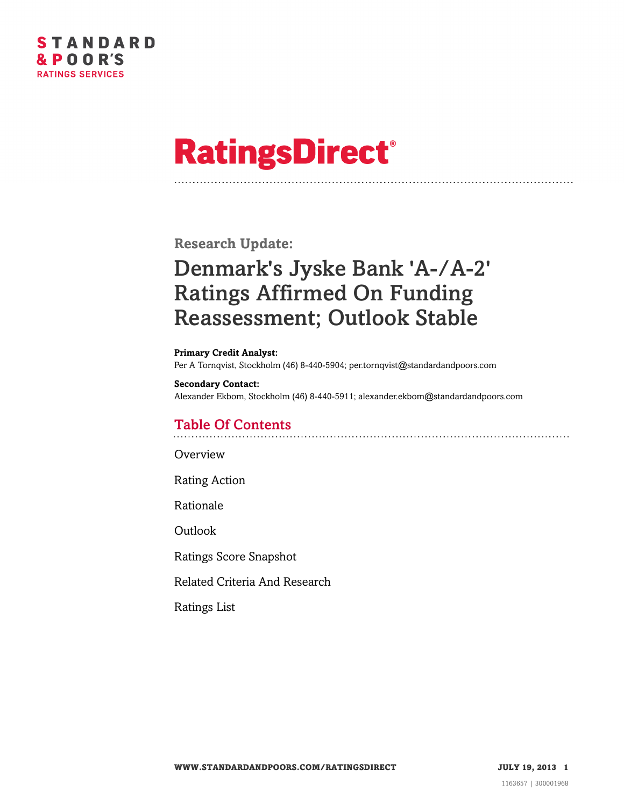

# **RatingsDirect®**

**Research Update:**

# Denmark's Jyske Bank 'A-/A-2' Ratings Affirmed On Funding Reassessment; Outlook Stable

**Primary Credit Analyst:** Per A Tornqvist, Stockholm (46) 8-440-5904; per.tornqvist@standardandpoors.com

**Secondary Contact:** Alexander Ekbom, Stockholm (46) 8-440-5911; alexander.ekbom@standardandpoors.com

## Table Of Contents

**[Overview](#page-1-0)** 

[Rating Action](#page-1-1)

[Rationale](#page-1-2)

[Outlook](#page-2-0)

[Ratings Score Snapshot](#page-2-1)

[Related Criteria And Research](#page-3-0)

[Ratings List](#page-3-1)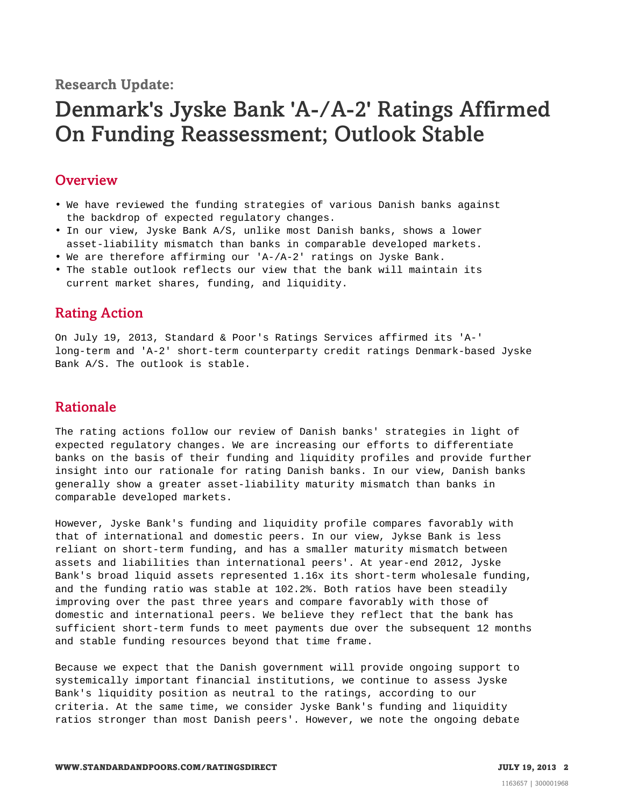**Research Update:**

# Denmark's Jyske Bank 'A-/A-2' Ratings Affirmed On Funding Reassessment; Outlook Stable

#### <span id="page-1-0"></span>**Overview**

- We have reviewed the funding strategies of various Danish banks against the backdrop of expected regulatory changes.
- In our view, Jyske Bank A/S, unlike most Danish banks, shows a lower asset-liability mismatch than banks in comparable developed markets.
- We are therefore affirming our 'A-/A-2' ratings on Jyske Bank.
- <span id="page-1-1"></span>• The stable outlook reflects our view that the bank will maintain its current market shares, funding, and liquidity.

#### Rating Action

On July 19, 2013, Standard & Poor's Ratings Services affirmed its 'A-' long-term and 'A-2' short-term counterparty credit ratings Denmark-based Jyske Bank A/S. The outlook is stable.

## <span id="page-1-2"></span>Rationale

The rating actions follow our review of Danish banks' strategies in light of expected regulatory changes. We are increasing our efforts to differentiate banks on the basis of their funding and liquidity profiles and provide further insight into our rationale for rating Danish banks. In our view, Danish banks generally show a greater asset-liability maturity mismatch than banks in comparable developed markets.

However, Jyske Bank's funding and liquidity profile compares favorably with that of international and domestic peers. In our view, Jykse Bank is less reliant on short-term funding, and has a smaller maturity mismatch between assets and liabilities than international peers'. At year-end 2012, Jyske Bank's broad liquid assets represented 1.16x its short-term wholesale funding, and the funding ratio was stable at 102.2%. Both ratios have been steadily improving over the past three years and compare favorably with those of domestic and international peers. We believe they reflect that the bank has sufficient short-term funds to meet payments due over the subsequent 12 months and stable funding resources beyond that time frame.

Because we expect that the Danish government will provide ongoing support to systemically important financial institutions, we continue to assess Jyske Bank's liquidity position as neutral to the ratings, according to our criteria. At the same time, we consider Jyske Bank's funding and liquidity ratios stronger than most Danish peers'. However, we note the ongoing debate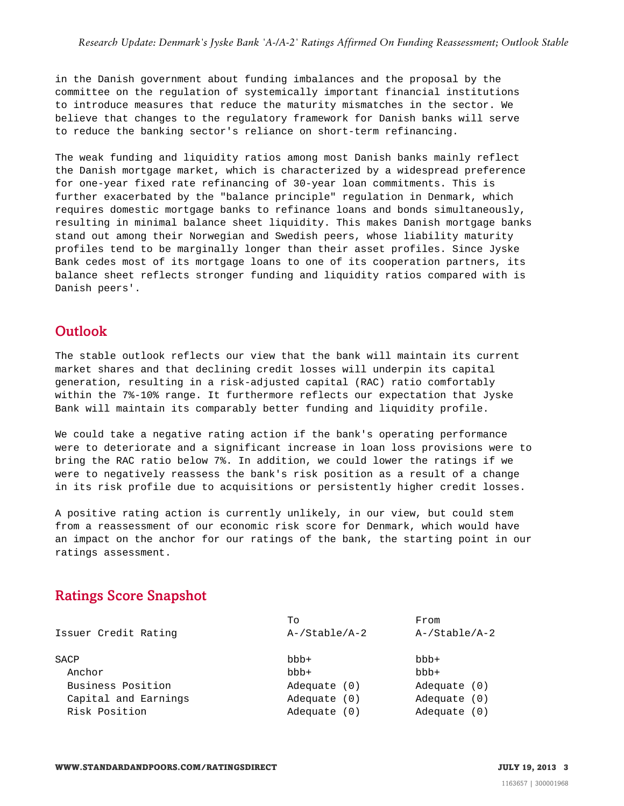in the Danish government about funding imbalances and the proposal by the committee on the regulation of systemically important financial institutions to introduce measures that reduce the maturity mismatches in the sector. We believe that changes to the regulatory framework for Danish banks will serve to reduce the banking sector's reliance on short-term refinancing.

The weak funding and liquidity ratios among most Danish banks mainly reflect the Danish mortgage market, which is characterized by a widespread preference for one-year fixed rate refinancing of 30-year loan commitments. This is further exacerbated by the "balance principle" regulation in Denmark, which requires domestic mortgage banks to refinance loans and bonds simultaneously, resulting in minimal balance sheet liquidity. This makes Danish mortgage banks stand out among their Norwegian and Swedish peers, whose liability maturity profiles tend to be marginally longer than their asset profiles. Since Jyske Bank cedes most of its mortgage loans to one of its cooperation partners, its balance sheet reflects stronger funding and liquidity ratios compared with is Danish peers'.

#### <span id="page-2-0"></span>**Outlook**

The stable outlook reflects our view that the bank will maintain its current market shares and that declining credit losses will underpin its capital generation, resulting in a risk-adjusted capital (RAC) ratio comfortably within the 7%-10% range. It furthermore reflects our expectation that Jyske Bank will maintain its comparably better funding and liquidity profile.

We could take a negative rating action if the bank's operating performance were to deteriorate and a significant increase in loan loss provisions were to bring the RAC ratio below 7%. In addition, we could lower the ratings if we were to negatively reassess the bank's risk position as a result of a change in its risk profile due to acquisitions or persistently higher credit losses.

A positive rating action is currently unlikely, in our view, but could stem from a reassessment of our economic risk score for Denmark, which would have an impact on the anchor for our ratings of the bank, the starting point in our ratings assessment.

## <span id="page-2-1"></span>Ratings Score Snapshot

|                      | Tο               | From             |
|----------------------|------------------|------------------|
| Issuer Credit Rating | $A$ -/Stable/A-2 | $A$ -/Stable/A-2 |
| SACP                 | $bbb +$          | $bbb +$          |
| Anchor               | $bbb +$          | $bbb +$          |
| Business Position    | Adequate (0)     | Adequate (0)     |
| Capital and Earnings | Adequate (0)     | Adequate (0)     |
| Risk Position        | Adequate (0)     | Adequate (0)     |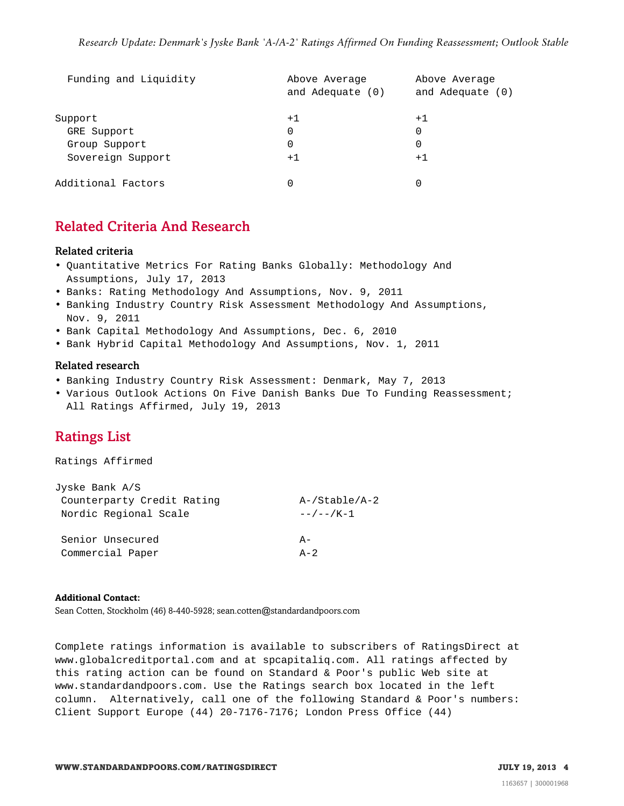| Funding and Liquidity | Above Average    | Above Average    |  |
|-----------------------|------------------|------------------|--|
|                       | and Adequate (0) | and Adequate (0) |  |
| Support               | $+1$             | $+1$             |  |
| GRE Support           | 0                | 0                |  |
| Group Support         | 0                | 0                |  |
| Sovereign Support     | $+1$             | $+1$             |  |
| Additional Factors    | 0                | 0                |  |

#### <span id="page-3-0"></span>Related Criteria And Research

#### Related criteria

- Quantitative Metrics For Rating Banks Globally: Methodology And Assumptions, July 17, 2013
- Banks: Rating Methodology And Assumptions, Nov. 9, 2011
- Banking Industry Country Risk Assessment Methodology And Assumptions, Nov. 9, 2011
- Bank Capital Methodology And Assumptions, Dec. 6, 2010
- Bank Hybrid Capital Methodology And Assumptions, Nov. 1, 2011

#### Related research

- Banking Industry Country Risk Assessment: Denmark, May 7, 2013
- <span id="page-3-1"></span>• Various Outlook Actions On Five Danish Banks Due To Funding Reassessment; All Ratings Affirmed, July 19, 2013

#### Ratings List

Ratings Affirmed

| Jyske Bank A/S             |                    |
|----------------------------|--------------------|
| Counterparty Credit Rating | $A$ -/Stable/A-2   |
| Nordic Regional Scale      | $-$ / $-$ / K $-1$ |
| Senior Unsecured           | $A -$              |
| Commercial Paper           | $A - 2$            |

#### **Additional Contact:**

Sean Cotten, Stockholm (46) 8-440-5928; sean.cotten@standardandpoors.com

Complete ratings information is available to subscribers of RatingsDirect at www.globalcreditportal.com and at spcapitaliq.com. All ratings affected by this rating action can be found on Standard & Poor's public Web site at www.standardandpoors.com. Use the Ratings search box located in the left column. Alternatively, call one of the following Standard & Poor's numbers: Client Support Europe (44) 20-7176-7176; London Press Office (44)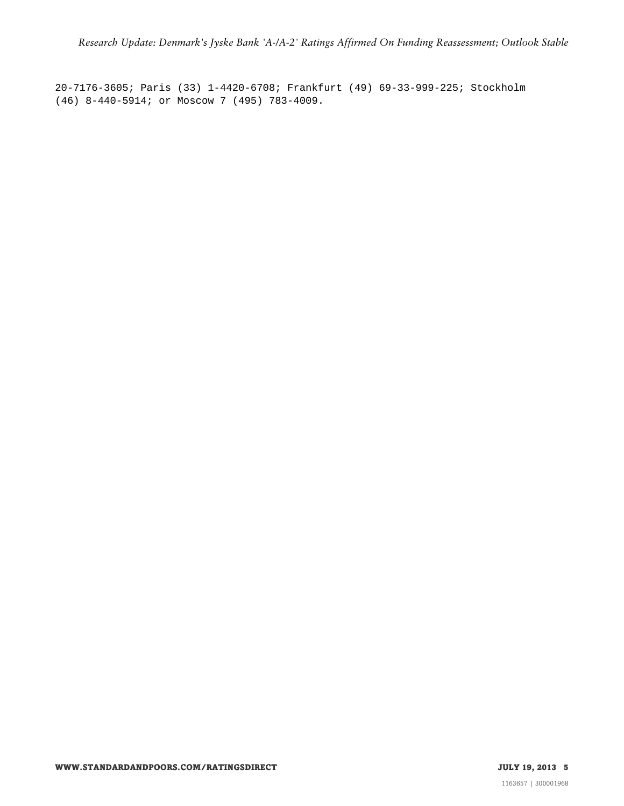20-7176-3605; Paris (33) 1-4420-6708; Frankfurt (49) 69-33-999-225; Stockholm (46) 8-440-5914; or Moscow 7 (495) 783-4009.